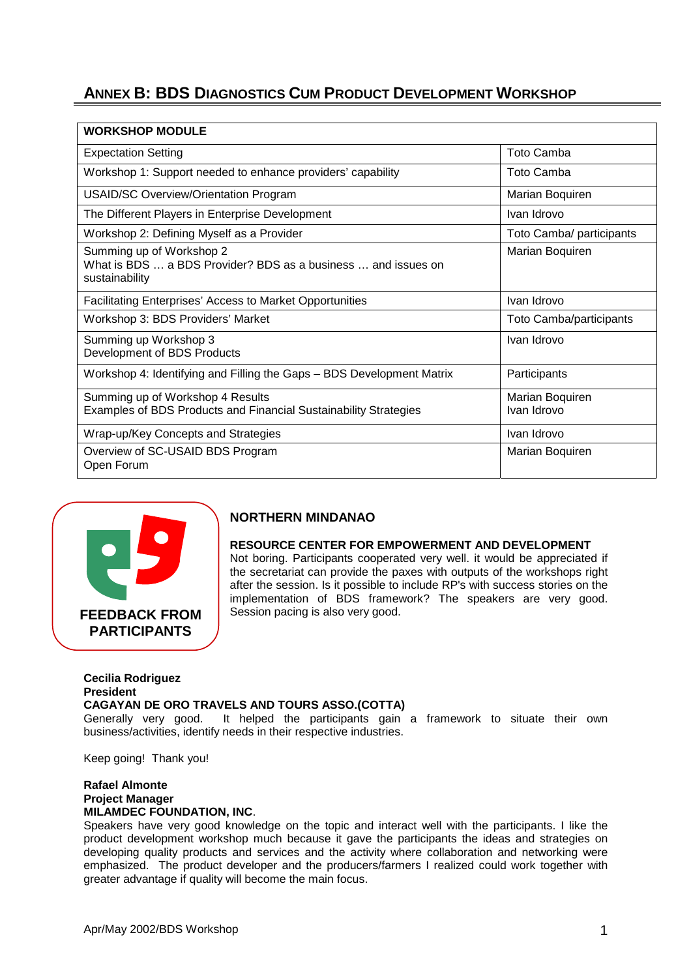## **ANNEX B: BDS DIAGNOSTICS CUM PRODUCT DEVELOPMENT WORKSHOP**

| <b>WORKSHOP MODULE</b>                                                                                      |                                |
|-------------------------------------------------------------------------------------------------------------|--------------------------------|
| <b>Expectation Setting</b>                                                                                  | <b>Toto Camba</b>              |
| Workshop 1: Support needed to enhance providers' capability                                                 | Toto Camba                     |
| <b>USAID/SC Overview/Orientation Program</b>                                                                | Marian Boquiren                |
| The Different Players in Enterprise Development                                                             | Ivan Idrovo                    |
| Workshop 2: Defining Myself as a Provider                                                                   | Toto Camba/ participants       |
| Summing up of Workshop 2<br>What is BDS  a BDS Provider? BDS as a business  and issues on<br>sustainability | Marian Boquiren                |
| <b>Facilitating Enterprises' Access to Market Opportunities</b>                                             | Ivan Idrovo                    |
| Workshop 3: BDS Providers' Market                                                                           | Toto Camba/participants        |
| Summing up Workshop 3<br>Development of BDS Products                                                        | Ivan Idrovo                    |
| Workshop 4: Identifying and Filling the Gaps - BDS Development Matrix                                       | Participants                   |
| Summing up of Workshop 4 Results<br>Examples of BDS Products and Financial Sustainability Strategies        | Marian Boquiren<br>Ivan Idrovo |
| Wrap-up/Key Concepts and Strategies                                                                         | Ivan Idrovo                    |
| Overview of SC-USAID BDS Program<br>Open Forum                                                              | Marian Boquiren                |



## **NORTHERN MINDANAO**

#### **RESOURCE CENTER FOR EMPOWERMENT AND DEVELOPMENT**

Not boring. Participants cooperated very well. it would be appreciated if the secretariat can provide the paxes with outputs of the workshops right after the session. Is it possible to include RP's with success stories on the implementation of BDS framework? The speakers are very good. Session pacing is also very good.

#### **Cecilia Rodriguez President CAGAYAN DE ORO TRAVELS AND TOURS ASSO.(COTTA)**

Generally very good. It helped the participants gain a framework to situate their own business/activities, identify needs in their respective industries.

Keep going! Thank you!

#### **Rafael Almonte Project Manager MILAMDEC FOUNDATION, INC**.

Speakers have very good knowledge on the topic and interact well with the participants. I like the product development workshop much because it gave the participants the ideas and strategies on developing quality products and services and the activity where collaboration and networking were emphasized. The product developer and the producers/farmers I realized could work together with greater advantage if quality will become the main focus.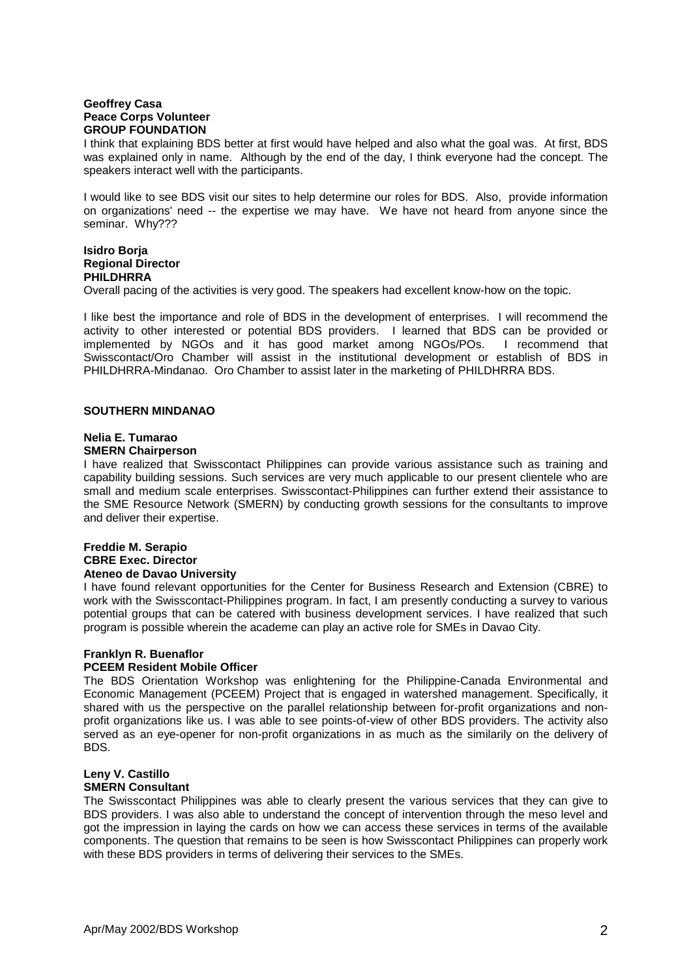#### **Geoffrey Casa Peace Corps Volunteer GROUP FOUNDATION**

I think that explaining BDS better at first would have helped and also what the goal was. At first, BDS was explained only in name. Although by the end of the day, I think everyone had the concept. The speakers interact well with the participants.

I would like to see BDS visit our sites to help determine our roles for BDS. Also, provide information on organizations' need -- the expertise we may have. We have not heard from anyone since the seminar. Why???

### **Isidro Borja Regional Director PHILDHRRA**

Overall pacing of the activities is very good. The speakers had excellent know-how on the topic.

I like best the importance and role of BDS in the development of enterprises. I will recommend the activity to other interested or potential BDS providers. I learned that BDS can be provided or implemented by NGOs and it has good market among NGOs/POs. I recommend that Swisscontact/Oro Chamber will assist in the institutional development or establish of BDS in PHILDHRRA-Mindanao. Oro Chamber to assist later in the marketing of PHILDHRRA BDS.

#### **SOUTHERN MINDANAO**

#### **Nelia E. Tumarao SMERN Chairperson**

I have realized that Swisscontact Philippines can provide various assistance such as training and capability building sessions. Such services are very much applicable to our present clientele who are small and medium scale enterprises. Swisscontact-Philippines can further extend their assistance to the SME Resource Network (SMERN) by conducting growth sessions for the consultants to improve and deliver their expertise.

#### **Freddie M. Serapio CBRE Exec. Director Ateneo de Davao University**

I have found relevant opportunities for the Center for Business Research and Extension (CBRE) to work with the Swisscontact-Philippines program. In fact, I am presently conducting a survey to various potential groups that can be catered with business development services. I have realized that such program is possible wherein the academe can play an active role for SMEs in Davao City.

# **Franklyn R. Buenaflor**

## **PCEEM Resident Mobile Officer**

The BDS Orientation Workshop was enlightening for the Philippine-Canada Environmental and Economic Management (PCEEM) Project that is engaged in watershed management. Specifically, it shared with us the perspective on the parallel relationship between for-profit organizations and nonprofit organizations like us. I was able to see points-of-view of other BDS providers. The activity also served as an eye-opener for non-profit organizations in as much as the similarily on the delivery of BDS.

#### **Leny V. Castillo SMERN Consultant**

The Swisscontact Philippines was able to clearly present the various services that they can give to BDS providers. I was also able to understand the concept of intervention through the meso level and got the impression in laying the cards on how we can access these services in terms of the available components. The question that remains to be seen is how Swisscontact Philippines can properly work with these BDS providers in terms of delivering their services to the SMEs.